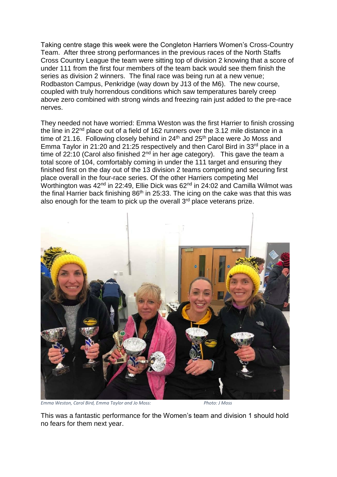Taking centre stage this week were the Congleton Harriers Women's Cross-Country Team. After three strong performances in the previous races of the North Staffs Cross Country League the team were sitting top of division 2 knowing that a score of under 111 from the first four members of the team back would see them finish the series as division 2 winners. The final race was being run at a new venue; Rodbaston Campus, Penkridge (way down by J13 of the M6). The new course, coupled with truly horrendous conditions which saw temperatures barely creep above zero combined with strong winds and freezing rain just added to the pre-race nerves.

They needed not have worried: Emma Weston was the first Harrier to finish crossing the line in 22<sup>nd</sup> place out of a field of 162 runners over the 3.12 mile distance in a time of 21.16. Following closely behind in  $24<sup>th</sup>$  and  $25<sup>th</sup>$  place were Jo Moss and Emma Taylor in 21:20 and 21:25 respectively and then Carol Bird in 33<sup>rd</sup> place in a time of 22:10 (Carol also finished  $2<sup>nd</sup>$  in her age category). This gave the team a total score of 104, comfortably coming in under the 111 target and ensuring they finished first on the day out of the 13 division 2 teams competing and securing first place overall in the four-race series. Of the other Harriers competing Mel Worthington was  $42<sup>nd</sup>$  in 22:49. Ellie Dick was 62<sup>nd</sup> in 24:02 and Camilla Wilmot was the final Harrier back finishing  $86<sup>th</sup>$  in 25:33. The icing on the cake was that this was also enough for the team to pick up the overall 3<sup>rd</sup> place veterans prize.



*Emma Weston, Carol Bird, Emma Taylor and Jo Moss: Photo: J Moss*

This was a fantastic performance for the Women's team and division 1 should hold no fears for them next year.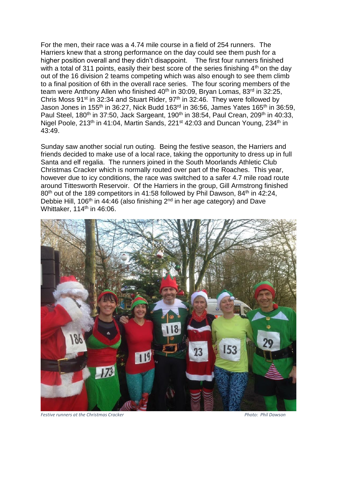For the men, their race was a 4.74 mile course in a field of 254 runners. The Harriers knew that a strong performance on the day could see them push for a higher position overall and they didn't disappoint. The first four runners finished with a total of 311 points, easily their best score of the series finishing  $4<sup>th</sup>$  on the day out of the 16 division 2 teams competing which was also enough to see them climb to a final position of 6th in the overall race series. The four scoring members of the team were Anthony Allen who finished 40<sup>th</sup> in 30:09, Bryan Lomas, 83<sup>rd</sup> in 32:25, Chris Moss  $91^{st}$  in 32:34 and Stuart Rider,  $97^{th}$  in 32:46. They were followed by Jason Jones in 155<sup>th</sup> in 36:27, Nick Budd 163<sup>rd</sup> in 36:56, James Yates 165<sup>th</sup> in 36:59, Paul Steel, 180<sup>th</sup> in 37:50, Jack Sargeant, 190<sup>th</sup> in 38:54, Paul Crean, 209<sup>th</sup> in 40:33, Nigel Poole, 213<sup>th</sup> in 41:04, Martin Sands, 221<sup>st</sup> 42:03 and Duncan Young, 234<sup>th</sup> in 43:49.

Sunday saw another social run outing. Being the festive season, the Harriers and friends decided to make use of a local race, taking the opportunity to dress up in full Santa and elf regalia. The runners joined in the South Moorlands Athletic Club Christmas Cracker which is normally routed over part of the Roaches. This year, however due to icy conditions, the race was switched to a safer 4.7 mile road route around Tittesworth Reservoir. Of the Harriers in the group, Gill Armstrong finished  $80<sup>th</sup>$  out of the 189 competitors in 41:58 followed by Phil Dawson, 84<sup>th</sup> in 42:24, Debbie Hill, 106<sup>th</sup> in 44:46 (also finishing  $2<sup>nd</sup>$  in her age category) and Dave Whittaker, 114<sup>th</sup> in 46:06.



**Festive runners at the Christmas Cracker Photo: Photo: Photo: Phil Dawson**